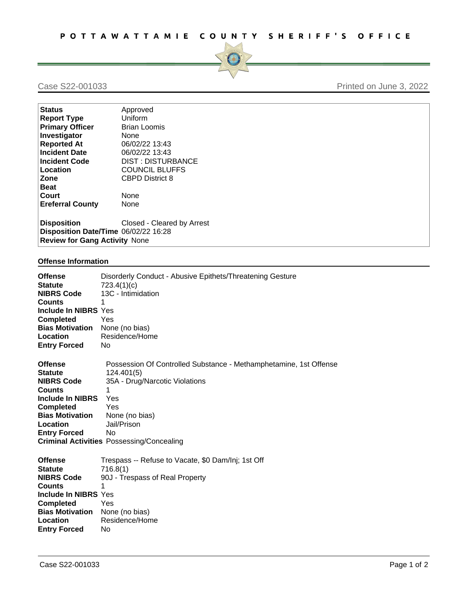

## Case S22-001033 Printed on June 3, 2022

| <b>Status</b>                        | Approved                   |  |
|--------------------------------------|----------------------------|--|
| <b>Report Type</b>                   | Uniform                    |  |
| <b>Primary Officer</b>               | <b>Brian Loomis</b>        |  |
| Investigator                         | <b>None</b>                |  |
| <b>Reported At</b>                   | 06/02/22 13:43             |  |
| <b>Incident Date</b>                 | 06/02/22 13:43             |  |
| <b>Incident Code</b>                 | <b>DIST: DISTURBANCE</b>   |  |
| Location                             | <b>COUNCIL BLUFFS</b>      |  |
| Zone                                 | <b>CBPD District 8</b>     |  |
| <b>Beat</b>                          |                            |  |
| Court                                | <b>None</b>                |  |
| <b>Ereferral County</b>              | None                       |  |
| <b>Disposition</b>                   | Closed - Cleared by Arrest |  |
| Disposition Date/Time 06/02/22 16:28 |                            |  |
| <b>Review for Gang Activity None</b> |                            |  |

## **Offense Information**

| <b>Offense</b>          | Disorderly Conduct - Abusive Epithets/Threatening Gesture         |
|-------------------------|-------------------------------------------------------------------|
| <b>Statute</b>          | 723.4(1)(c)                                                       |
| <b>NIBRS Code</b>       | 13C - Intimidation                                                |
| <b>Counts</b>           | 1                                                                 |
| Include In NIBRS Yes    |                                                                   |
| <b>Completed</b>        | Yes                                                               |
| <b>Bias Motivation</b>  | None (no bias)                                                    |
| Location                | Residence/Home                                                    |
| <b>Entry Forced</b>     | No                                                                |
|                         |                                                                   |
| <b>Offense</b>          | Possession Of Controlled Substance - Methamphetamine, 1st Offense |
| <b>Statute</b>          | 124.401(5)                                                        |
| <b>NIBRS Code</b>       | 35A - Drug/Narcotic Violations                                    |
| <b>Counts</b>           | 1                                                                 |
| <b>Include In NIBRS</b> | Yes                                                               |
| <b>Completed</b>        | Yes                                                               |
| <b>Bias Motivation</b>  | None (no bias)                                                    |
| Location                | Jail/Prison                                                       |
| <b>Entry Forced</b>     | No.                                                               |
|                         | <b>Criminal Activities Possessing/Concealing</b>                  |
|                         |                                                                   |
| <b>Offense</b>          | Trespass -- Refuse to Vacate, \$0 Dam/Inj; 1st Off                |
| <b>Statute</b>          | 716.8(1)                                                          |
| <b>NIBRS Code</b>       | 90J - Trespass of Real Property                                   |
| <b>Counts</b>           | 1                                                                 |
| Include In NIBRS Yes    |                                                                   |
| <b>Completed</b>        | Yes                                                               |
| <b>Bias Motivation</b>  | None (no bias)                                                    |
| Location                | Residence/Home                                                    |
| <b>Entry Forced</b>     | No                                                                |
|                         |                                                                   |